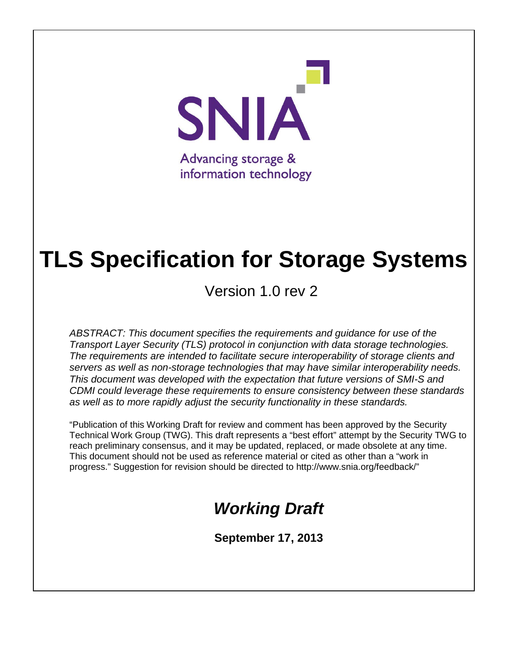

# **TLS Specification for Storage Systems**

Version 1.0 rev 2

*ABSTRACT: This document specifies the requirements and guidance for use of the Transport Layer Security (TLS) protocol in conjunction with data storage technologies. The requirements are intended to facilitate secure interoperability of storage clients and servers as well as non-storage technologies that may have similar interoperability needs. This document was developed with the expectation that future versions of SMI-S and CDMI could leverage these requirements to ensure consistency between these standards as well as to more rapidly adjust the security functionality in these standards.*

"Publication of this Working Draft for review and comment has been approved by the Security Technical Work Group (TWG). This draft represents a "best effort" attempt by the Security TWG to reach preliminary consensus, and it may be updated, replaced, or made obsolete at any time. This document should not be used as reference material or cited as other than a "work in progress." Suggestion for revision should be directed to http://www.snia.org/feedback/"

# *Working Draft*

**September 17, 2013**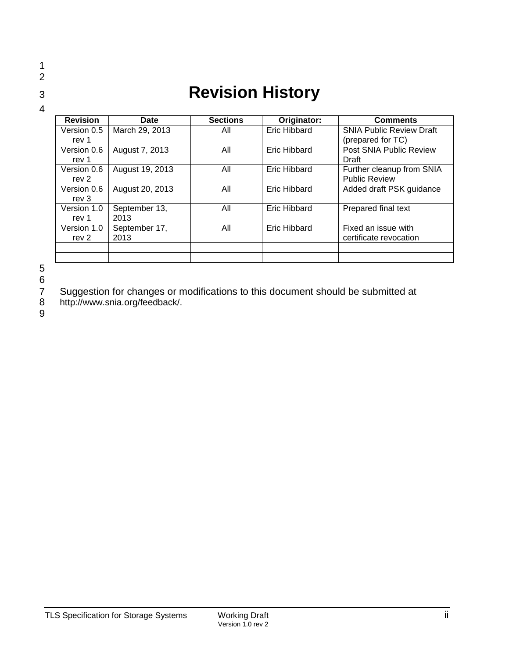### 1 2

4

# <sup>3</sup> **Revision History**

| <b>Revision</b>  | Date            | <b>Sections</b> | Originator:  | <b>Comments</b>                 |
|------------------|-----------------|-----------------|--------------|---------------------------------|
| Version 0.5      | March 29, 2013  | All             | Eric Hibbard | <b>SNIA Public Review Draft</b> |
| rev 1            |                 |                 |              | (prepared for TC)               |
| Version 0.6      | August 7, 2013  | All             | Eric Hibbard | Post SNIA Public Review         |
| rev 1            |                 |                 |              | Draft                           |
| Version 0.6      | August 19, 2013 | All             | Eric Hibbard | Further cleanup from SNIA       |
| rev 2            |                 |                 |              | <b>Public Review</b>            |
| Version 0.6      | August 20, 2013 | All             | Eric Hibbard | Added draft PSK guidance        |
| rev 3            |                 |                 |              |                                 |
| Version 1.0      | September 13,   | All             | Eric Hibbard | Prepared final text             |
| rev 1            | 2013            |                 |              |                                 |
| Version 1.0      | September 17,   | All             | Eric Hibbard | Fixed an issue with             |
| rev <sub>2</sub> | 2013            |                 |              | certificate revocation          |
|                  |                 |                 |              |                                 |
|                  |                 |                 |              |                                 |

5

6<br>7<br>8

7 Suggestion for changes or modifications to this document should be submitted at

8 http://www.snia.org/feedback/.

9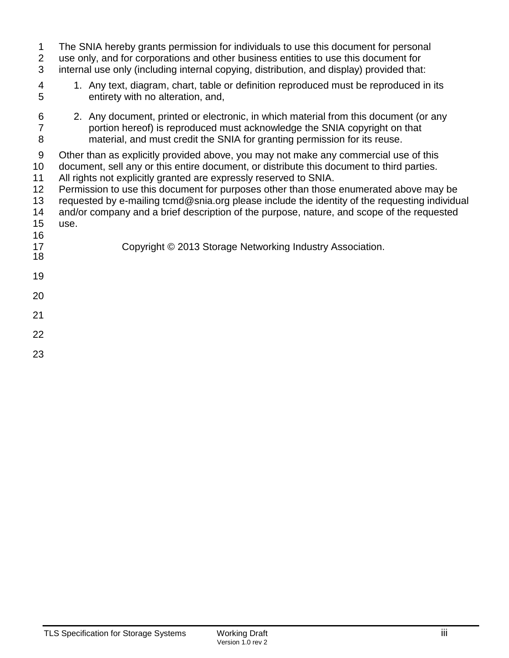| 1<br>$\overline{2}$<br>3                                                            | The SNIA hereby grants permission for individuals to use this document for personal<br>use only, and for corporations and other business entities to use this document for<br>internal use only (including internal copying, distribution, and display) provided that:                                                                                                                                                                                                                                                                                                                                             |
|-------------------------------------------------------------------------------------|--------------------------------------------------------------------------------------------------------------------------------------------------------------------------------------------------------------------------------------------------------------------------------------------------------------------------------------------------------------------------------------------------------------------------------------------------------------------------------------------------------------------------------------------------------------------------------------------------------------------|
| 4<br>5                                                                              | 1. Any text, diagram, chart, table or definition reproduced must be reproduced in its<br>entirety with no alteration, and,                                                                                                                                                                                                                                                                                                                                                                                                                                                                                         |
| 6<br>$\overline{7}$<br>8                                                            | 2. Any document, printed or electronic, in which material from this document (or any<br>portion hereof) is reproduced must acknowledge the SNIA copyright on that<br>material, and must credit the SNIA for granting permission for its reuse.                                                                                                                                                                                                                                                                                                                                                                     |
| $\boldsymbol{9}$<br>10 <sup>°</sup><br>11<br>12<br>13<br>14<br>15<br>16<br>17<br>18 | Other than as explicitly provided above, you may not make any commercial use of this<br>document, sell any or this entire document, or distribute this document to third parties.<br>All rights not explicitly granted are expressly reserved to SNIA.<br>Permission to use this document for purposes other than those enumerated above may be<br>requested by e-mailing tcmd@snia.org please include the identity of the requesting individual<br>and/or company and a brief description of the purpose, nature, and scope of the requested<br>use.<br>Copyright © 2013 Storage Networking Industry Association. |
| 19                                                                                  |                                                                                                                                                                                                                                                                                                                                                                                                                                                                                                                                                                                                                    |
| 20                                                                                  |                                                                                                                                                                                                                                                                                                                                                                                                                                                                                                                                                                                                                    |
| 21                                                                                  |                                                                                                                                                                                                                                                                                                                                                                                                                                                                                                                                                                                                                    |
| 22                                                                                  |                                                                                                                                                                                                                                                                                                                                                                                                                                                                                                                                                                                                                    |
| $\sim$                                                                              |                                                                                                                                                                                                                                                                                                                                                                                                                                                                                                                                                                                                                    |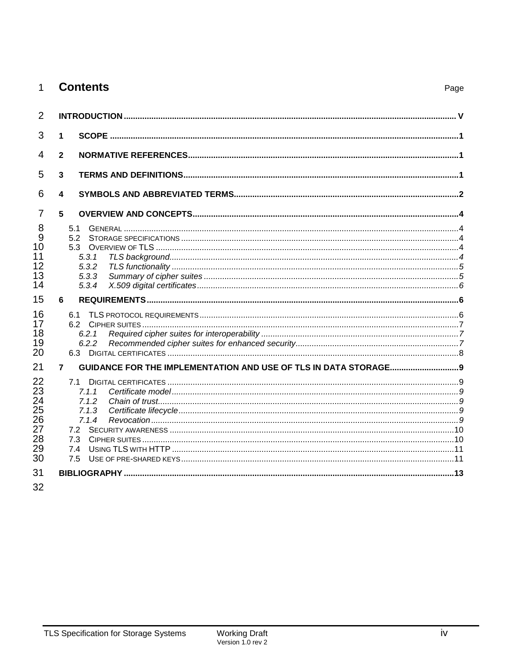|  | <b>Contents</b> |
|--|-----------------|
|--|-----------------|

| $\overline{2}$                                     |                                                                  |  |
|----------------------------------------------------|------------------------------------------------------------------|--|
| 3<br>1                                             |                                                                  |  |
| 4<br>$\mathbf{2}$                                  |                                                                  |  |
| 5<br>3                                             |                                                                  |  |
| 6<br>4                                             |                                                                  |  |
| 7<br>5                                             |                                                                  |  |
| 8<br>9<br>10<br>11<br>12<br>13<br>14               | 5.1<br>52<br>5.3<br>5.3.1<br>5.3.2<br>5.3.3<br>5.3.4             |  |
| 15<br>6                                            |                                                                  |  |
| 16<br>17<br>18<br>19<br>20                         | 6.1<br>6.2.1<br>6.2.2                                            |  |
| 21<br>$\overline{7}$                               | GUIDANCE FOR THE IMPLEMENTATION AND USE OF TLS IN DATA STORAGE 9 |  |
| 22<br>23<br>24<br>25<br>26<br>27<br>28<br>29<br>30 | 71<br>7.1.1<br>7.1.2<br>7.1.3<br>7.1.4<br>7.3<br>7.4<br>7.5      |  |
| 31                                                 |                                                                  |  |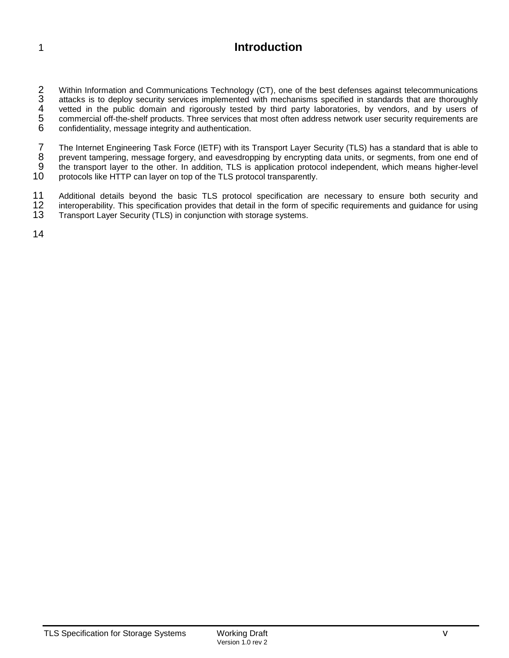# 1 **Introduction**

2 Within Information and Communications Technology (CT), one of the best defenses against telecommunications<br>3 attacks is to deploy security services implemented with mechanisms specified in standards that are thoroughly<br>4 attacks is to deploy security services implemented with mechanisms specified in standards that are thoroughly 4 vetted in the public domain and rigorously tested by third party laboratories, by vendors, and by users of<br>5 commercial off-the-shelf products. Three services that most often address network user security requirements ar 5 commercial off-the-shelf products. Three services that most often address network user security requirements are<br>6 confidentiality, message integrity and authentication. confidentiality, message integrity and authentication.

7 The Internet Engineering Task Force (IETF) with its Transport Layer Security (TLS) has a standard that is able to<br>8 prevent tampering, message forgery, and eavesdropping by encrypting data units, or segments, from one en 8 prevent tampering, message forgery, and eavesdropping by encrypting data units, or segments, from one end of<br>9 the transport layer to the other. In addition, TLS is application protocol independent, which means higher-le 9 the transport layer to the other. In addition, TLS is application protocol independent, which means higher-level<br>10 protocols like HTTP can laver on top of the TLS protocol transparently. protocols like HTTP can layer on top of the TLS protocol transparently.

11 Additional details beyond the basic TLS protocol specification are necessary to ensure both security and<br>12 interoperability. This specification provides that detail in the form of specific requirements and guidance for 12 interoperability. This specification provides that detail in the form of specific requirements and guidance for using<br>13 Transport Laver Security (TLS) in conjunction with storage systems. Transport Layer Security (TLS) in conjunction with storage systems.

14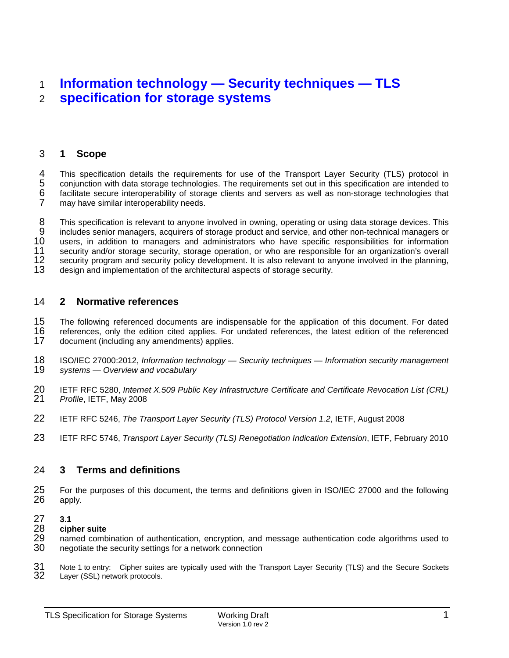# 1 **Information technology — Security techniques — TLS**  2 **specification for storage systems**

# 3 **1 Scope**

This specification details the requirements for use of the Transport Layer Security (TLS) protocol in<br>
5 conjunction with data storage technologies. The requirements set out in this specification are intended to<br>
6 facilit 5 conjunction with data storage technologies. The requirements set out in this specification are intended to facilitate secure interoperability of storage clients and servers as well as non-storage technologies that may have similar interoperability needs.

8 This specification is relevant to anyone involved in owning, operating or using data storage devices. This<br>9 includes senior managers, acquirers of storage product and service, and other non-technical managers or 9 includes senior managers, acquirers of storage product and service, and other non-technical managers or<br>10 users, in addition to managers and administrators who have specific responsibilities for information 10 users, in addition to managers and administrators who have specific responsibilities for information<br>11 security and/or storage security, storage operation, or who are responsible for an organization's overall 11 security and/or storage security, storage operation, or who are responsible for an organization's overall<br>12 security program and security policy development. It is also relevant to anyone involved in the planning, 12 security program and security policy development. It is also relevant to anyone involved in the planning, <br>13 design and implementation of the architectural aspects of storage security. design and implementation of the architectural aspects of storage security.

# 14 **2 Normative references**

15 The following referenced documents are indispensable for the application of this document. For dated 16 referenced to application of the referenced 16 references, only the edition cited applies. For undated references, the latest edition of the referenced 17 document (including any amendments) applies document (including any amendments) applies.

- 18 ISO/IEC 27000:2012, *Information technology — Security techniques — Information security management*  19 *systems — Overview and vocabulary*
- 20 IETF RFC 5280, *Internet X.509 Public Key Infrastructure Certificate and Certificate Revocation List (CRL)*  21 *Profile*, IETF, May 2008
- 22 IETF RFC 5246, *The Transport Layer Security (TLS) Protocol Version 1.2*, IETF, August 2008
- 23 IETF RFC 5746, *Transport Layer Security (TLS) Renegotiation Indication Extension*, IETF, February 2010

# 24 **3 Terms and definitions**

- 25 For the purposes of this document, the terms and definitions given in ISO/IEC 27000 and the following 26 apply. apply.
- 27 **3.1**
- 28 **cipher suite**
- 29 named combination of authentication, encryption, and message authentication code algorithms used to <br>30 negotiate the security settings for a network connection negotiate the security settings for a network connection

31 Note 1 to entry: Cipher suites are typically used with the Transport Layer Security (TLS) and the Secure Sockets<br>32 Layer (SSL) network protocols. Layer (SSL) network protocols.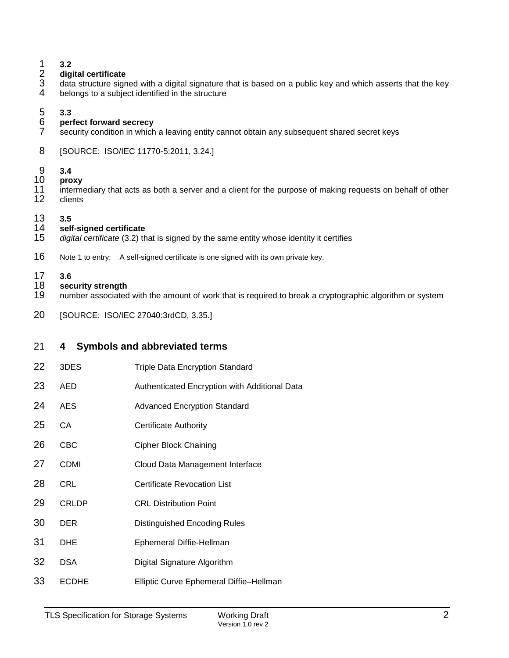# **digital certificate**

- **3.2**<br>
2 **dig**<br>
3 data<br>
4 **belg** data structure signed with a digital signature that is based on a public key and which asserts that the key belongs to a subject identified in the structure
- 

# **3.3**

- **perfect forward secrecy** security condition in which a leaving entity cannot obtain any subsequent shared secret keys
- [SOURCE: ISO/IEC 11770-5:2011, 3.24.]

# **3.4**

- **proxy**
- 11 intermediary that acts as both a server and a client for the purpose of making requests on behalf of other<br>12 inclents clients
- 

# **3.5 self-signed certificate**

- digital certificate (3.2) that is signed by the same entity whose identity it certifies
- Note 1 to entry: A self-signed certificate is one signed with its own private key.
- 

# **3.6**

- **security strength** number associated with the amount of work that is required to break a cryptographic algorithm or system
- [SOURCE: ISO/IEC 27040:3rdCD, 3.35.]

# **4 Symbols and abbreviated terms**

- 3DES Triple Data Encryption Standard
- AED Authenticated Encryption with Additional Data
- 24 AES Advanced Encryption Standard
- CA Certificate Authority
- CBC Cipher Block Chaining
- CDMI Cloud Data Management Interface
- 28 CRL Certificate Revocation List
- CRLDP CRL Distribution Point
- DER Distinguished Encoding Rules
- DHE Ephemeral Diffie-Hellman
- DSA Digital Signature Algorithm
- ECDHE Elliptic Curve Ephemeral Diffie–Hellman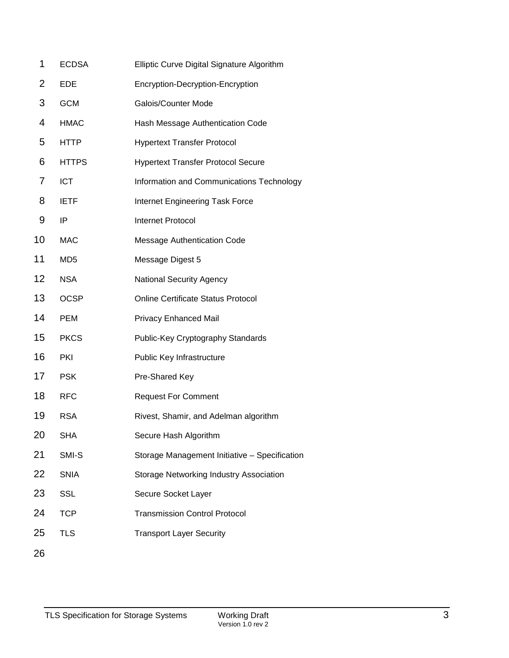| 1  | <b>ECDSA</b>    | Elliptic Curve Digital Signature Algorithm    |
|----|-----------------|-----------------------------------------------|
| 2  | <b>EDE</b>      | Encryption-Decryption-Encryption              |
| 3  | <b>GCM</b>      | Galois/Counter Mode                           |
| 4  | <b>HMAC</b>     | Hash Message Authentication Code              |
| 5  | <b>HTTP</b>     | <b>Hypertext Transfer Protocol</b>            |
| 6  | <b>HTTPS</b>    | <b>Hypertext Transfer Protocol Secure</b>     |
| 7  | <b>ICT</b>      | Information and Communications Technology     |
| 8  | <b>IETF</b>     | Internet Engineering Task Force               |
| 9  | IP              | <b>Internet Protocol</b>                      |
| 10 | <b>MAC</b>      | Message Authentication Code                   |
| 11 | MD <sub>5</sub> | Message Digest 5                              |
| 12 | <b>NSA</b>      | <b>National Security Agency</b>               |
| 13 | <b>OCSP</b>     | <b>Online Certificate Status Protocol</b>     |
| 14 | <b>PEM</b>      | <b>Privacy Enhanced Mail</b>                  |
| 15 | <b>PKCS</b>     | Public-Key Cryptography Standards             |
| 16 | PKI             | Public Key Infrastructure                     |
| 17 | <b>PSK</b>      | Pre-Shared Key                                |
| 18 | <b>RFC</b>      | <b>Request For Comment</b>                    |
| 19 | <b>RSA</b>      | Rivest, Shamir, and Adelman algorithm         |
| 20 | <b>SHA</b>      | Secure Hash Algorithm                         |
| 21 | SMI-S           | Storage Management Initiative - Specification |
| 22 | <b>SNIA</b>     | Storage Networking Industry Association       |
| 23 | SSL             | Secure Socket Layer                           |
| 24 | <b>TCP</b>      | <b>Transmission Control Protocol</b>          |
| 25 | <b>TLS</b>      | <b>Transport Layer Security</b>               |
| 26 |                 |                                               |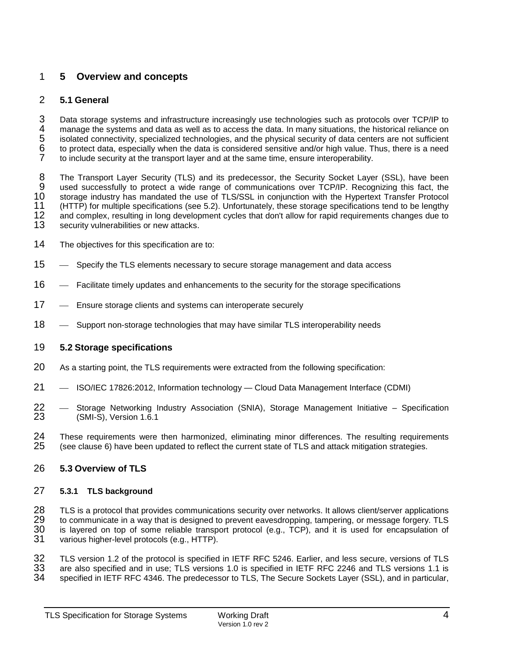# 1 **5 Overview and concepts**

# 2 **5.1 General**

3 Data storage systems and infrastructure increasingly use technologies such as protocols over TCP/IP to<br>4 manage the systems and data as well as to access the data. In many situations, the historical reliance on 4 manage the systems and data as well as to access the data. In many situations, the historical reliance on isolated connectivity, specialized technologies, and the physical security of data centers are not sufficient to p isolated connectivity, specialized technologies, and the physical security of data centers are not sufficient 6 to protect data, especially when the data is considered sensitive and/or high value. Thus, there is a need to include security at the transport layer and at the same time, ensure interoperability.

8 The Transport Layer Security (TLS) and its predecessor, the Security Socket Layer (SSL), have been<br>9 used successfully to protect a wide range of communications over TCP/IP. Recognizing this fact, the 9 used successfully to protect a wide range of communications over TCP/IP. Recognizing this fact, the<br>10 storage industry has mandated the use of TLS/SSL in conjunction with the Hypertext Transfer Protocol 10 storage industry has mandated the use of TLS/SSL in conjunction with the Hypertext Transfer Protocol<br>11 (HTTP) for multiple specifications (see 5.2). Unfortunately, these storage specifications tend to be lengthy 11 (HTTP) for multiple specifications (see 5.2). Unfortunately, these storage specifications tend to be lengthy<br>12 and complex, resulting in long development cycles that don't allow for rapid requirements changes due to 12 and complex, resulting in long development cycles that don't allow for rapid requirements changes due to <br>13 security vulnerabilities or new attacks. security vulnerabilities or new attacks.

- 14 The objectives for this specification are to:
- 15 Specify the TLS elements necessary to secure storage management and data access
- 16 Facilitate timely updates and enhancements to the security for the storage specifications
- 17 Ensure storage clients and systems can interoperate securely
- 18 Support non-storage technologies that may have similar TLS interoperability needs

# 19 **5.2 Storage specifications**

- 20 As a starting point, the TLS requirements were extracted from the following specification:
- 21 ISO/IEC 17826:2012, Information technology Cloud Data Management Interface (CDMI)
- 22 Storage Networking Industry Association (SNIA), Storage Management Initiative Specification<br>23 (SMI-S) Version 1.6.1 (SMI-S), Version 1.6.1
- 24 These requirements were then harmonized, eliminating minor differences. The resulting requirements 25 (see clause 6) have been updated to reflect the current state of TLS and attack mitioation strategies. (see clause 6) have been updated to reflect the current state of TLS and attack mitigation strategies.

# 26 **5.3 Overview of TLS**

# 27 **5.3.1 TLS background**

28 TLS is a protocol that provides communications security over networks. It allows client/server applications<br>29 to communicate in a way that is designed to prevent eavesdropping, tampering, or message forgery. TLS 29 to communicate in a way that is designed to prevent eavesdropping, tampering, or message forgery. TLS<br>30 is layered on top of some reliable transport protocol (e.g., TCP), and it is used for encapsulation of 30 is layered on top of some reliable transport protocol (e.g., TCP), and it is used for encapsulation of 31 various higher-level protocols (e.g., HTTP). various higher-level protocols (e.g., HTTP).

32 TLS version 1.2 of the protocol is specified in IETF RFC 5246. Earlier, and less secure, versions of TLS<br>33 are also specified and in use: TLS versions 1.0 is specified in IETF RFC 2246 and TLS versions 1.1 is 33 are also specified and in use; TLS versions 1.0 is specified in IETF RFC 2246 and TLS versions 1.1 is 34 and in particular<br>34 and specified in IETF RFC 4346. The predecessor to TLS The Secure Sockets Laver (SSL) and in specified in IETF RFC 4346. The predecessor to TLS, The Secure Sockets Layer (SSL), and in particular,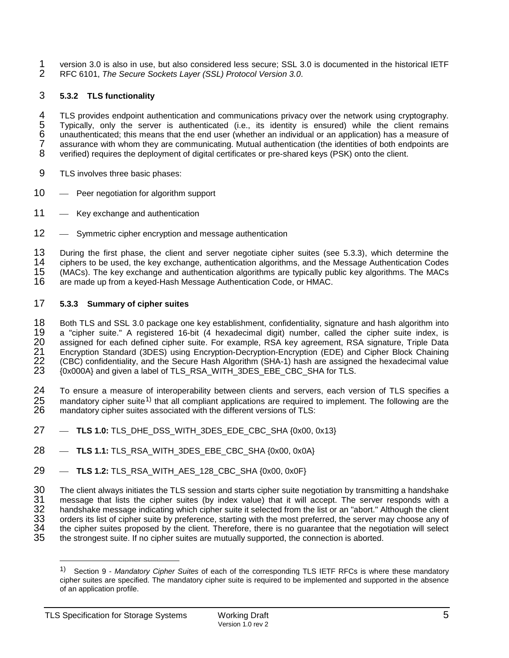- 1 version 3.0 is also in use, but also considered less secure; SSL 3.0 is documented in the historical IETF<br>2 RFC 6101, The Secure Sockets Layer (SSL) Protocol Version 3.0.
- 2 RFC 6101, *The Secure Sockets Layer (SSL) Protocol Version 3.0*.

# 3 **5.3.2 TLS functionality**

4 TLS provides endpoint authentication and communications privacy over the network using cryptography.<br>5 Typically, only the server is authenticated (i.e., its identity is ensured) while the client remains 5 Typically, only the server is authenticated (i.e., its identity is ensured) while the client remains 6 unauthenticated; this means that the end user (whether an individual or an application) has a measure of 7 assurance with whom they are communicating. Mutual authentication (the identities of both endpoints are<br>8 verified) requires the deployment of digital certificates or pre-shared keys (PSK) onto the client. 8 verified) requires the deployment of digital certificates or pre-shared keys (PSK) onto the client.

- 9 TLS involves three basic phases:
- 10 Peer negotiation for algorithm support
- 11 Key exchange and authentication
- 12 Symmetric cipher encryption and message authentication

13 During the first phase, the client and server negotiate cipher suites (see 5.3.3), which determine the 14 ciphers to be used, the key exchange, authentication algorithms, and the Message Authentication Codes 14 ciphers to be used, the key exchange, authentication algorithms, and the Message Authentication Codes<br>15 (MACs). The key exchange and authentication algorithms are typically public key algorithms. The MACs 15 (MACs). The key exchange and authentication algorithms are typically public key algorithms. The MACs are made up from a keyed-Hash Message Authentication Code, or HMAC.

# <span id="page-9-1"></span>17 **5.3.3 Summary of cipher suites**

18 Both TLS and SSL 3.0 package one key establishment, confidentiality, signature and hash algorithm into 19<br>19 a "cipher suite." A registered 16-bit (4 hexadecimal digit) number, called the cipher suite index, is 19 a "cipher suite." A registered 16-bit (4 hexadecimal digit) number, called the cipher suite index, is<br>20 assigned for each defined cipher suite. For example, RSA key agreement, RSA signature, Triple Data 20 assigned for each defined cipher suite. For example, RSA key agreement, RSA signature, Triple Data<br>21 Encryption Standard (3DES) using Encryption-Decryption-Encryption (EDE) and Cipher Block Chaining 21 Encryption Standard (3DES) using Encryption-Decryption-Encryption (EDE) and Cipher Block Chaining<br>22 (CBC) confidentiality, and the Secure Hash Algorithm (SHA-1) hash are assigned the hexadecimal value 22 (CBC) confidentiality, and the Secure Hash Algorithm (SHA-1) hash are assigned the hexadecimal value 23 (0x000A) and given a label of TLS RSA WITH 3DES EBE CBC SHA for TLS. 23 {0x000A} and given a label of TLS\_RSA\_WITH\_3DES\_EBE\_CBC\_SHA for TLS.

24 To ensure a measure of interoperability between clients and servers, each version of TLS specifies a 25 mandatory cipher suite<sup>[1\)](#page-9-0)</sup> that all compliant applications are required to implement. The following are the  $26$  mandatory cipher suites associated with the different versions of TLS: mandatory cipher suites associated with the different versions of TLS:

- 27  **TLS 1.0:** TLS DHE DSS WITH 3DES EDE CBC SHA {0x00, 0x13}
- 28  **TLS 1.1:** TLS RSA WITH 3DES EBE CBC SHA {0x00, 0x0A}
- 29 **TLS 1.2:** TLS\_RSA\_WITH\_AES\_128\_CBC\_SHA {0x00, 0x0F}

30 The client always initiates the TLS session and starts cipher suite negotiation by transmitting a handshake<br>31 The sange that lists the cipher suites (by index value) that it will accept. The server responds with a 31 message that lists the cipher suites (by index value) that it will accept. The server responds with a<br>32 handshake message indicating which cipher suite it selected from the list or an "abort." Although the client 32 handshake message indicating which cipher suite it selected from the list or an "abort." Although the client<br>33 orders its list of cipher suite by preference, starting with the most preferred, the server may choose any 33 orders its list of cipher suite by preference, starting with the most preferred, the server may choose any of<br>34 the cipher suites proposed by the client. Therefore, there is no quarantee that the negotiation will selec 34 the cipher suites proposed by the client. Therefore, there is no guarantee that the negotiation will select<br>35 the strongest suite. If no cipher suites are mutually supported, the connection is aborted. the strongest suite. If no cipher suites are mutually supported, the connection is aborted.

<span id="page-9-0"></span><sup>1)</sup> Section 9 - *Mandatory Cipher Suites* of each of the corresponding TLS IETF RFCs is where these mandatory cipher suites are specified. The mandatory cipher suite is required to be implemented and supported in the absence of an application profile.  $\overline{a}$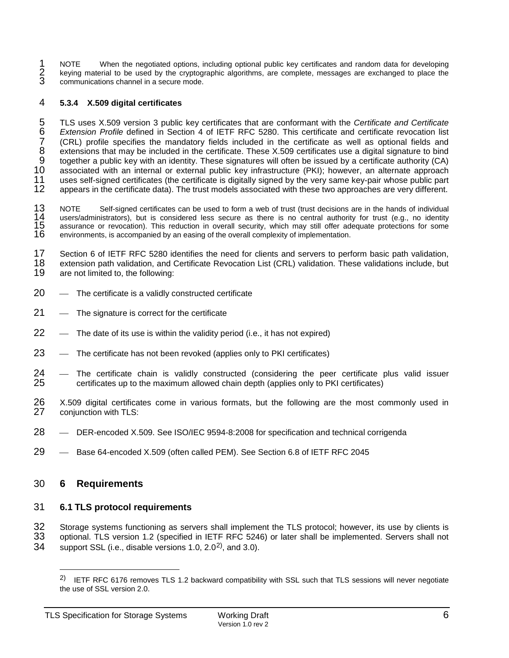1 NOTE When the negotiated options, including optional public key certificates and random data for developing<br>2 keying material to be used by the cryptographic algorithms, are complete, messages are exchanged to place the<br> 2 keying material to be used by the cryptographic algorithms, are complete, messages are exchanged to place the communications channel in a secure mode.

# 4 **5.3.4 X.509 digital certificates**

5 TLS uses X.509 version 3 public key certificates that are conformant with the *Certificate and Certificate*  6 *Extension Profile* defined in Section 4 of IETF RFC 5280. This certificate and certificate revocation list 7 (CRL) profile specifies the mandatory fields included in the certificate as well as optional fields and<br>8 extensions that may be included in the certificate. These X.509 certificates use a digital signature to bind 8 extensions that may be included in the certificate. These X.509 certificates use a digital signature to bind<br>9 together a public key with an identity. These signatures will often be issued by a certificate authority (CA) 9 together a public key with an identity. These signatures will often be issued by a certificate authority (CA)<br>10 associated with an internal or external public key infrastructure (PKI): however, an alternate approach 10 associated with an internal or external public key infrastructure (PKI); however, an alternate approach 11 uses self-signed certificates (the certificate is digitally signed by the very same key-pair whose public part 11 uses self-signed certificates (the certificate is digitally signed by the very same key-pair whose public part appears in the certificate data). The trust models associated with these two approaches are very different.

13 NOTE Self-signed certificates can be used to form a web of trust (trust decisions are in the hands of individual 14 users/administrators), but is considered less secure as there is no central authority for trust (e.g., 14 users/administrators), but is considered less secure as there is no central authority for trust (e.g., no identity<br>15 assurance or revocation). This reduction in overall security, which may still offer adequate protecti 15 assurance or revocation). This reduction in overall security, which may still offer adequate protections for some <br>16 environments, is accompanied by an easing of the overall complexity of implementation. 16 environments, is accompanied by an easing of the overall complexity of implementation.

17 Section 6 of IETF RFC 5280 identifies the need for clients and servers to perform basic path validation,<br>18 extension path validation, and Certificate Revocation List (CRL) validation. These validations include, but 18 extension path validation, and Certificate Revocation List (CRL) validation. These validations include, but<br>19 are not limited to, the following: are not limited to, the following:

- 20 The certificate is a validly constructed certificate
- $21 -$  The signature is correct for the certificate
- $22$  The date of its use is within the validity period (i.e., it has not expired)
- $23$  The certificate has not been revoked (applies only to PKI certificates)
- 24 The certificate chain is validly constructed (considering the peer certificate plus valid issuer 25 certificates up to the maximum allowed chain depth (applies only to PKI certificates) certificates up to the maximum allowed chain depth (applies only to PKI certificates)
- 26 X.509 digital certificates come in various formats, but the following are the most commonly used in <br>27 coniunction with TLS: conjunction with TLS:
- 28 DER-encoded X.509. See ISO/IEC 9594-8:2008 for specification and technical corrigenda
- 29 Base 64-encoded X.509 (often called PEM). See Section 6.8 of IETF RFC 2045

# 30 **6 Requirements**

 $\overline{a}$ 

# 31 **6.1 TLS protocol requirements**

32 Storage systems functioning as servers shall implement the TLS protocol; however, its use by clients is 33 optional. TLS version 1.2 (specified in IETF RFC 5246) or later shall be implemented. Servers shall not

33 optional. TLS version 1.2 (specified in IETF RFC 5246) or later shall be implemented. Servers shall not

<span id="page-10-0"></span>34 support SSL (i.e., disable versions 1.0,  $2.0^{2}$ ), and 3.0).

<sup>&</sup>lt;sup>2)</sup> IETF RFC 6176 removes TLS 1.2 backward compatibility with SSL such that TLS sessions will never negotiate the use of SSL version 2.0.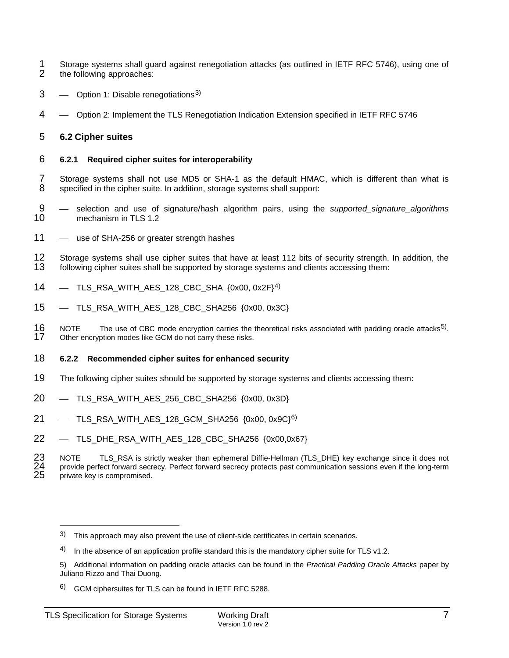- 1 Storage systems shall guard against renegotiation attacks (as outlined in IETF RFC 5746), using one of the following approaches: the following approaches:
- $3 3 -$  Option 1: Disable renegotiations<sup>3)</sup>
- 4 Option 2: Implement the TLS Renegotiation Indication Extension specified in IETF RFC 5746

# <span id="page-11-4"></span>5 **6.2 Cipher suites**

#### 6 **6.2.1 Required cipher suites for interoperability**

- 7 Storage systems shall not use MD5 or SHA-1 as the default HMAC, which is different than what is specified in the cipher suite. In addition, storage systems shall support: specified in the cipher suite. In addition, storage systems shall support:
- 9 selection and use of signature/hash algorithm pairs, using the *supported\_signature\_algorithms*<br>10 mechanism in TLS 1.2 mechanism in TLS 1.2
- 11 use of SHA-256 or greater strength hashes
- 12 Storage systems shall use cipher suites that have at least 112 bits of security strength. In addition, the 13 following cipher suites shall be supported by storage systems and clients accessing them: following cipher suites shall be supported by storage systems and clients accessing them:
- $14$  TLS\_RSA\_WITH\_AES\_128\_CBC\_SHA  $\{0x00, 0x2F\}$ <sup>[4\)](#page-11-1)</sup>
- 15 TLS\_RSA\_WITH\_AES\_128\_CBC\_SHA256 {0x00, 0x3C}
- 16 NOTE The use of CBC mode encryption carries the theoretical risks associated with padding oracle attacks<sup>[5\)](#page-11-2)</sup>.<br>17 . Other encryption modes like GCM do not carry these risks. Other encryption modes like GCM do not carry these risks.

#### 18 **6.2.2 Recommended cipher suites for enhanced security**

- 19 The following cipher suites should be supported by storage systems and clients accessing them:
- 20 TLS RSA\_WITH\_AES\_256\_CBC\_SHA256 {0x00, 0x3D}
- $21$  TLS RSA WITH AES 128 GCM SHA256 {0x00, 0x9C}<sup>6}</sup>
- 22 TLS\_DHE\_RSA\_WITH\_AES\_128\_CBC\_SHA256 {0x00,0x67}

23 NOTE TLS\_RSA is strictly weaker than ephemeral Diffie-Hellman (TLS\_DHE) key exchange since it does not<br>24 provide perfect forward secrecy. Perfect forward secrecy protects past communication sessions even if the long-te provide perfect forward secrecy. Perfect forward secrecy protects past communication sessions even if the long-term private key is compromised.

 $\overline{a}$ 

<span id="page-11-0"></span><sup>3)</sup> This approach may also prevent the use of client-side certificates in certain scenarios.

<span id="page-11-1"></span><sup>4)</sup> In the absence of an application profile standard this is the mandatory cipher suite for TLS  $v1.2$ .

<span id="page-11-2"></span><sup>5)</sup> Additional information on padding oracle attacks can be found in the *Practical Padding Oracle Attacks* paper by Juliano Rizzo and Thai Duong.

<span id="page-11-3"></span><sup>6)</sup> GCM ciphersuites for TLS can be found in IETF RFC 5288.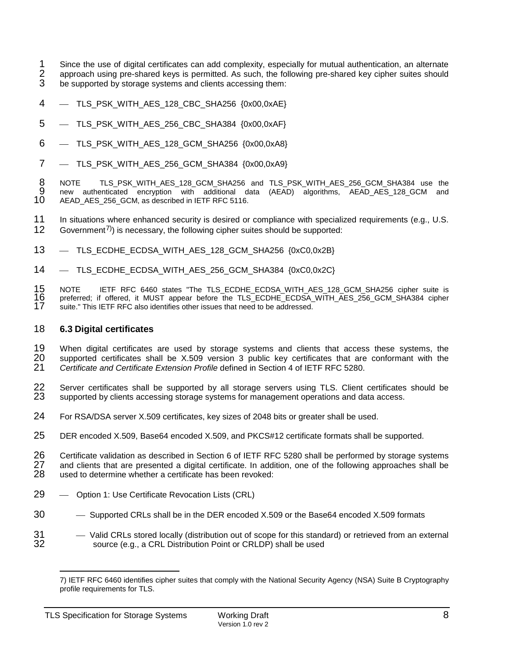1 Since the use of digital certificates can add complexity, especially for mutual authentication, an alternate<br>2 approach using pre-shared keys is permitted. As such, the following pre-shared key cipher suites should 2 approach using pre-shared keys is permitted. As such, the following pre-shared key cipher suites should 3 be supported by storage systems and clients accessing them: be supported by storage systems and clients accessing them:

- 4 TLS\_PSK\_WITH\_AES\_128\_CBC\_SHA256 {0x00,0xAE}
- 5 TLS\_PSK\_WITH\_AES\_256\_CBC\_SHA384 {0x00,0xAF}
- 6 TLS\_PSK\_WITH\_AES\_128\_GCM\_SHA256 {0x00,0xA8}
- $7 -$  TLS PSK WITH AES 256 GCM SHA384  ${0x00,0xA9}$

8 NOTE TLS\_PSK\_WITH\_AES\_128\_GCM\_SHA256 and TLS\_PSK\_WITH\_AES\_256\_GCM\_SHA384 use the<br>9 new authenticated encryption with additional data (AEAD) algorithms. AEAD\_AES\_128\_GCM\_\_and 9 new authenticated encryption with additional data (AEAD) algorithms, AEAD\_AES\_128\_GCM and <br>10 AEAD\_AES\_256\_GCM as\_described\_in\_IETF\_RFC\_5116. AEAD\_AES\_256\_GCM, as described in IETF RFC 5116.

11 In situations where enhanced security is desired or compliance with specialized requirements (e.g., U.S.  $12$  Government<sup>7)</sup>) is necessary, the following cipher suites should be supported: Government<sup>[7\)](#page-12-0)</sup> is necessary, the following cipher suites should be supported:

- 13 TLS ECDHE\_ECDSA\_WITH\_AES\_128\_GCM\_SHA256 {0xC0,0x2B}
- 14 TLS\_ECDHE\_ECDSA\_WITH\_AES\_256\_GCM\_SHA384 {0xC0,0x2C}

15 NOTE IETF RFC 6460 states "The TLS\_ECDHE\_ECDSA\_WITH\_AES\_128\_GCM\_SHA256 cipher suite is<br>16 preferred; if offered, it MUST appear before the TLS\_ECDHE\_ECDSA\_WITH\_AES\_256\_GCM\_SHA384 cipher 16 preferred; if offered, it MUST appear before the TLS\_ECDHE\_ECDSA\_WITH\_AES\_256\_GCM\_SHA384 cipher<br>17 suite." This IETF RFC also identifies other issues that need to be addressed. suite." This IETF RFC also identifies other issues that need to be addressed.

# <span id="page-12-1"></span>18 **6.3 Digital certificates**

19 When digital certificates are used by storage systems and clients that access these systems, the<br>20 supported certificates shall be X.509 version 3 public key certificates that are conformant with the 20 supported certificates shall be X.509 version 3 public key certificates that are conformant with the 21 Certificate and Certificate Extension Profile defined in Section 4 of IETF RFC 5280. 21 *Certificate and Certificate Extension Profile* defined in Section 4 of IETF RFC 5280.

22 Server certificates shall be supported by all storage servers using TLS. Client certificates should be 23 supported by clients accessing storage systems for management operations and data access. supported by clients accessing storage systems for management operations and data access.

- 24 For RSA/DSA server X.509 certificates, key sizes of 2048 bits or greater shall be used.
- 25 DER encoded X.509, Base64 encoded X.509, and PKCS#12 certificate formats shall be supported.

26 Certificate validation as described in Section 6 of IETF RFC 5280 shall be performed by storage systems<br>27 and clients that are presented a digital certificate. In addition, one of the following approaches shall be 27 and clients that are presented a digital certificate. In addition, one of the following approaches shall be<br>28 used to determine whether a certificate has been revoked: used to determine whether a certificate has been revoked:

- 29 Option 1: Use Certificate Revocation Lists (CRL)
- 30 
Supported CRLs shall be in the DER encoded X.509 or the Base64 encoded X.509 formats
- <span id="page-12-0"></span>31 - Valid CRLs stored locally (distribution out of scope for this standard) or retrieved from an external<br>32 - source (e.g., a CRL Distribution Point or CRLDP) shall be used source (e.g., a CRL Distribution Point or CRLDP) shall be used

<sup>7)</sup> IETF RFC 6460 identifies cipher suites that comply with the National Security Agency (NSA) Suite B Cryptography profile requirements for TLS.  $\overline{a}$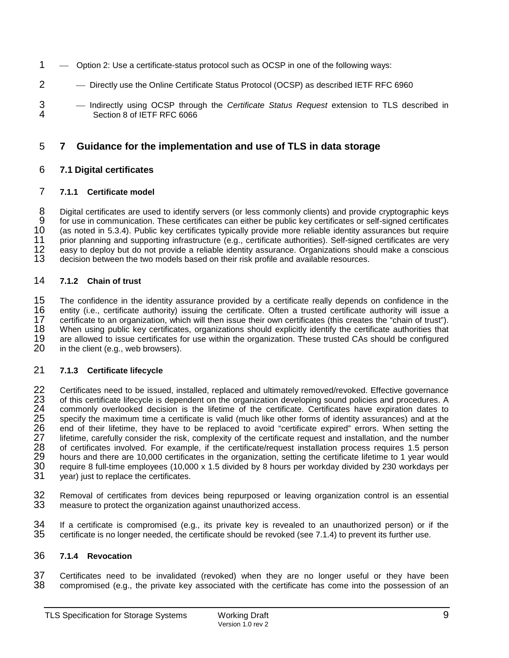- 1 Option 2: Use a certificate-status protocol such as OCSP in one of the following ways:
- 2 Directly use the Online Certificate Status Protocol (OCSP) as described IETF RFC 6960
- 3 Indirectly using OCSP through the *Certificate Status Request* extension to TLS described in Section 8 of IETF RFC 6066

# 5 **7 Guidance for the implementation and use of TLS in data storage**

### 6 **7.1 Digital certificates**

### 7 **7.1.1 Certificate model**

8 Digital certificates are used to identify servers (or less commonly clients) and provide cryptographic keys<br>9 for use in communication. These certificates can either be public key certificates or self-signed certificates 9 for use in communication. These certificates can either be public key certificates or self-signed certificates 10 (as noted in 5.3.4). Public key certificates typically provide more reliable identity assurances but require<br>11 orior planning and supporting infrastructure (e.g., certificate authorities). Self-signed certificates are 11 prior planning and supporting infrastructure (e.g., certificate authorities). Self-signed certificates are very<br>12 easy to deploy but do not provide a reliable identity assurance. Organizations should make a conscious 12 easy to deploy but do not provide a reliable identity assurance. Organizations should make a conscious 13 decision between the two models based on their risk profile and available resources. decision between the two models based on their risk profile and available resources.

# 14 **7.1.2 Chain of trust**

15 The confidence in the identity assurance provided by a certificate really depends on confidence in the 16<br>16 entity (i.e., certificate authority) issuing the certificate. Often a trusted certificate authority will issue 16 entity (i.e., certificate authority) issuing the certificate. Often a trusted certificate authority will issue a<br>17 certificate to an organization, which will then issue their own certificates (this creates the "chain o 17 certificate to an organization, which will then issue their own certificates (this creates the "chain of trust").<br>18 When using public key certificates, organizations should explicitly identify the certificate authoriti 18 When using public key certificates, organizations should explicitly identify the certificate authorities that 19 are allowed to issue certificates for use within the organization. These trusted CAs should be configured 19 are allowed to issue certificates for use within the organization. These trusted CAs should be configured <br>20 in the client (e.g., web browsers). in the client (e.g., web browsers).

# 21 **7.1.3 Certificate lifecycle**

22 Certificates need to be issued, installed, replaced and ultimately removed/revoked. Effective governance<br>23 of this certificate lifecycle is dependent on the organization developing sound policies and procedures. A 23 of this certificate lifecycle is dependent on the organization developing sound policies and procedures. A<br>24 commonly overlooked decision is the lifetime of the certificate. Certificates have expiration dates to 24 commonly overlooked decision is the lifetime of the certificate. Certificates have expiration dates to<br>25 specify the maximum time a certificate is valid (much like other forms of identity assurances) and at the<br>26 end 25 specify the maximum time a certificate is valid (much like other forms of identity assurances) and at the 26 end of their lifetime, they have to be replaced to avoid "certificate expired" errors. When setting the 27 lifetime, carefully consider the risk, complexity of the certificate request and installation, and the number 27 lifetime, carefully consider the risk, complexity of the certificate request and installation, and the number<br>28 of certificates involved. For example, if the certificate/request installation process requires 1.5 person 28 of certificates involved. For example, if the certificate/request installation process requires 1.5 person<br>29 hours and there are 10,000 certificates in the organization, setting the certificate lifetime to 1 year would 29 hours and there are 10,000 certificates in the organization, setting the certificate lifetime to 1 year would<br>30 require 8 full-time employees (10,000 x 1.5 divided by 8 hours per workday divided by 230 workdays per 30 require 8 full-time employees (10,000 x 1.5 divided by 8 hours per workday divided by 230 workdays per 31 vers workdays per year) just to replace the certificates.

32 Removal of certificates from devices being repurposed or leaving organization control is an essential<br>33 measure to protect the organization against unauthorized access. measure to protect the organization against unauthorized access.

 $34$  If a certificate is compromised (e.g., its private key is revealed to an unauthorized person) or if the 35 certificate is no longer needed, the certificate should be revoked (see 7.1.4) to prevent its further use. certificate is no longer needed, the certificate should be revoked (see 7.1.4) to prevent its further use.

#### 36 **7.1.4 Revocation**

37 Certificates need to be invalidated (revoked) when they are no longer useful or they have been<br>38 compromised (e.g., the private key associated with the certificate has come into the possession of an compromised (e.g., the private key associated with the certificate has come into the possession of an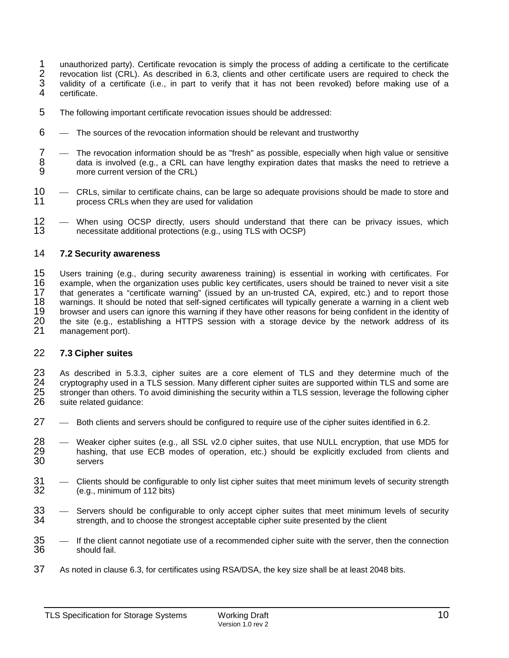- 1 unauthorized party). Certificate revocation is simply the process of adding a certificate to the certificate<br>2 revocation list (CRL). As described in 6.3, clients and other certificate users are required to check the 2 revocation list (CRL). As described in 6.3, clients and other certificate users are required to check the validity of a certificate (i.e., in part to verify that it has not been revoked) before making use of a certificat 3 validity of a certificate (i.e., in part to verify that it has not been revoked) before making use of a
- 4 certificate.
- 5 The following important certificate revocation issues should be addressed:
- $6 -$  The sources of the revocation information should be relevant and trustworthy
- 7 The revocation information should be as "fresh" as possible, especially when high value or sensitive<br>8 data is involved (e.g., a CRL can have lengthy expiration dates that masks the need to retrieve a 8 data is involved (e.g., a CRL can have lengthy expiration dates that masks the need to retrieve a<br>9 more current version of the CRL) more current version of the CRL)
- 10 CRLs, similar to certificate chains, can be large so adequate provisions should be made to store and 11 process CRLs when they are used for validation process CRLs when they are used for validation
- 12 When using OCSP directly, users should understand that there can be privacy issues, which<br>13 enecessitate additional protections (e.g., using TLS with OCSP) necessitate additional protections (e.g., using TLS with OCSP)

# 14 **7.2 Security awareness**

15 Users training (e.g., during security awareness training) is essential in working with certificates. For 16<br>16 example, when the organization uses public key certificates, users should be trained to never visit a site 16 example, when the organization uses public key certificates, users should be trained to never visit a site<br>17 that generates a "certificate warning" (issued by an un-trusted CA, expired, etc.) and to report those 17 that generates a "certificate warning" (issued by an un-trusted CA, expired, etc.) and to report those<br>18 warnings. It should be noted that self-signed certificates will typically generate a warning in a client web 18 warnings. It should be noted that self-signed certificates will typically generate a warning in a client web<br>19 browser and users can ignore this warning if they have other reasons for being confident in the identity of 19 browser and users can ignore this warning if they have other reasons for being confident in the identity of<br>20 the site (e.g., establishing a HTTPS session with a storage device by the network address of its 20 the site (e.g., establishing a HTTPS session with a storage device by the network address of its management port).

### 22 **7.3 Cipher suites**

23 As described in [5.3.3,](#page-9-1) cipher suites are a core element of TLS and they determine much of the<br>24 cryptography used in a TLS session. Many different cipher suites are supported within TLS and some are 24 cryptography used in a TLS session. Many different cipher suites are supported within TLS and some are<br>25 stronger than others. To avoid diminishing the security within a TLS session, leverage the following cipher 25 stronger than others. To avoid diminishing the security within a TLS session, leverage the following cipher<br>26 suite related quidance: suite related guidance:

- 27 Both clients and servers should be configured to require use of the cipher suites identified in [6.2.](#page-11-4)
- 28 Weaker cipher suites (e.g., all SSL v2.0 cipher suites, that use NULL encryption, that use MD5 for 29 hashing, that use ECB modes of operation, etc.) should be explicitly excluded from clients and 29 hashing, that use ECB modes of operation, etc.) should be explicitly excluded from clients and servers
- 31 Clients should be configurable to only list cipher suites that meet minimum levels of security strength 32 (e.g., minimum of 112 bits) 32 (e.g., minimum of 112 bits)
- 33 Servers should be configurable to only accept cipher suites that meet minimum levels of security S4 strength, and to choose the strongest acceptable cipher suite presented by the client strength, and to choose the strongest acceptable cipher suite presented by the client
- 35  $-$  If the client cannot negotiate use of a recommended cipher suite with the server, then the connection 36 should fail.
- 37 As noted in clause [6.3,](#page-12-1) for certificates using RSA/DSA, the key size shall be at least 2048 bits.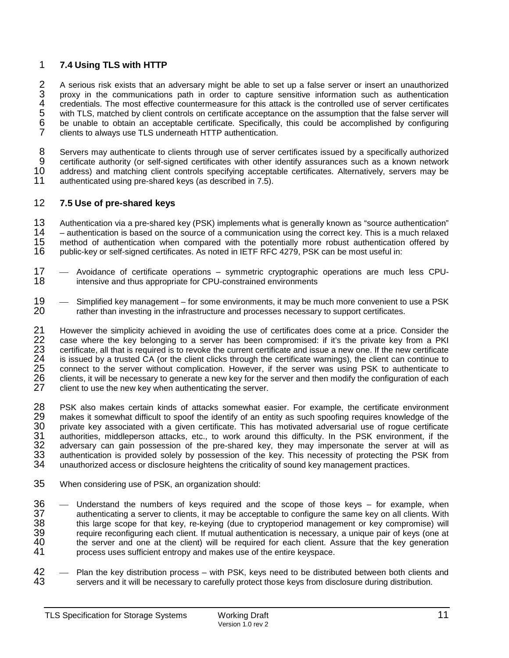# 1 **7.4 Using TLS with HTTP**

2 A serious risk exists that an adversary might be able to set up a false server or insert an unauthorized<br>3 proxy in the communications path in order to capture sensitive information such as authentication 3 proxy in the communications path in order to capture sensitive information such as authentication credentials. The most effective countermeasure for this attack is the controlled use of server certificates with TLS, matc 4 credentials. The most effective countermeasure for this attack is the controlled use of server certificates with TLS, matched by client controls on certificate acceptance on the assumption that the false server will 6 be unable to obtain an acceptable certificate. Specifically, this could be accomplished by configuring clients to always use TLS underneath HTTP authentication.

8 Servers may authenticate to clients through use of server certificates issued by a specifically authorized<br>9 certificate authority (or self-signed certificates with other identify assurances such as a known network 9 certificate authority (or self-signed certificates with other identify assurances such as a known network<br>10 address) and matching client controls specifying acceptable certificates. Alternatively, servers may be 10 address) and matching client controls specifying acceptable certificates. Alternatively, servers may be 11<br>11 authenticated using pre-shared keys (as described in 7.5). authenticated using pre-shared keys (as described in 7.5).

# 12 **7.5 Use of pre-shared keys**

13 Authentication via a pre-shared key (PSK) implements what is generally known as "source authentication"<br>14 - authentication is based on the source of a communication using the correct key. This is a much relaxed 14 – authentication is based on the source of a communication using the correct key. This is a much relaxed<br>15 method of authentication when compared with the potentially more robust authentication offered by 15 method of authentication when compared with the potentially more robust authentication offered by 16 public-key or self-signed certificates. As noted in IETF RFC 4279, PSK can be most useful in: 16 public-key or self-signed certificates. As noted in IETF RFC 4279, PSK can be most useful in:

- 17 Avoidance of certificate operations symmetric cryptographic operations are much less CPU-<br>18 intensive and thus appropriate for CPU-constrained environments intensive and thus appropriate for CPU-constrained environments
- 19 Simplified key management for some environments, it may be much more convenient to use a PSK<br>20 **Final entity on the intential and the infrastructure** and processes necessary to support certificates. rather than investing in the infrastructure and processes necessary to support certificates.

21 However the simplicity achieved in avoiding the use of certificates does come at a price. Consider the 22 case where the key belonging to a server has been compromised: if it's the private key from a PKI 22 case where the key belonging to a server has been compromised: if it's the private key from a PKI<br>23 certificate, all that is required is to revoke the current certificate and issue a new one. If the new certificate 23 certificate, all that is required is to revoke the current certificate and issue a new one. If the new certificate<br>24 is issued by a trusted CA (or the client clicks through the certificate warnings), the client can con 24 is issued by a trusted CA (or the client clicks through the certificate warnings), the client can continue to<br>25 connect to the server without complication. However, if the server was using PSK to authenticate to 25 connect to the server without complication. However, if the server was using PSK to authenticate to 26 clients, it will be necessary to generate a new key for the server and then modify the configuration of each 26 clients, it will be necessary to generate a new key for the server and then modify the configuration of each<br>27 client to use the new key when authenticating the server. client to use the new key when authenticating the server.

28 PSK also makes certain kinds of attacks somewhat easier. For example, the certificate environment<br>29 makes it somewhat difficult to spoof the identify of an entity as such spoofing requires knowledge of the 29 makes it somewhat difficult to spoof the identify of an entity as such spoofing requires knowledge of the<br>30 private key associated with a given certificate. This has motivated adversarial use of roque certificate 30 private key associated with a given certificate. This has motivated adversarial use of rogue certificate 31 authorities, middleperson attacks, etc., to work around this difficulty. In the PSK environment, if the<br>32 adversary can gain possession of the pre-shared key, they may impersonate the server at will as 32 adversary can gain possession of the pre-shared key, they may impersonate the server at will as<br>33 authentication is provided solely by possession of the key. This necessity of protecting the PSK from 33 authentication is provided solely by possession of the key. This necessity of protecting the PSK from 34 unauthorized access or disclosure heightens the criticality of sound key management practices. unauthorized access or disclosure heightens the criticality of sound key management practices.

- 35 When considering use of PSK, an organization should:
- 36 Understand the numbers of keys required and the scope of those keys for example, when<br>37 authenticating a server to clients, it may be acceptable to configure the same key on all clients. With 37 authenticating a server to clients, it may be acceptable to configure the same key on all clients. With 38 this large scope for that key, re-keying (due to cryptoperiod management or key compromise) will<br>39 the require reconfiguring each client. If mutual authentication is necessary, a unique pair of keys (one at 39 require reconfiguring each client. If mutual authentication is necessary, a unique pair of keys (one at 40<br>40 the server and one at the client) will be required for each client. Assure that the key generation 40 the server and one at the client) will be required for each client. Assure that the key generation<br>41 oncress uses sufficient entropy and makes use of the entire keyspace. process uses sufficient entropy and makes use of the entire keyspace.
- 42 Plan the key distribution process with PSK, keys need to be distributed between both clients and 43 servers and it will be necessary to carefully protect those keys from disclosure during distribution. servers and it will be necessary to carefully protect those keys from disclosure during distribution.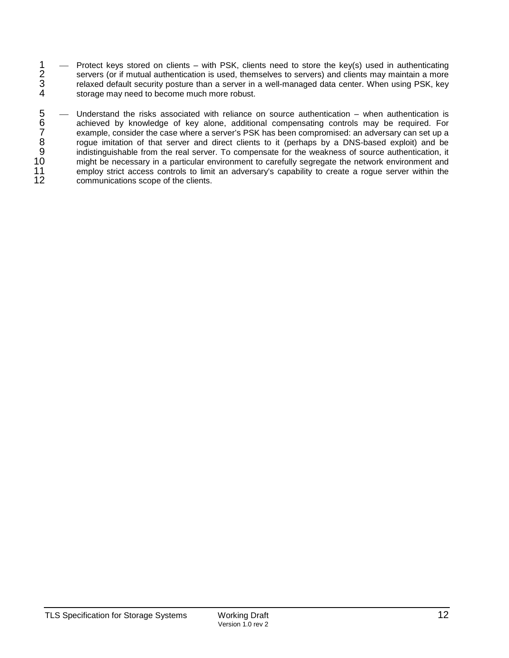1 - Protect keys stored on clients – with PSK, clients need to store the key(s) used in authenticating<br>2 servers (or if mutual authentication is used, themselves to servers) and clients may maintain a more 2 servers (or if mutual authentication is used, themselves to servers) and clients may maintain a more<br>3 relaxed default security posture than a server in a well-managed data center. When using PSK, key 3 relaxed default security posture than a server in a well-managed data center. When using PSK, key<br>4 storage may need to become much more robust. storage may need to become much more robust.

5 — Understand the risks associated with reliance on source authentication – when authentication is<br>6 achieved by knowledge of key alone, additional compensating controls may be required. For<br>6 example, consider the case w achieved by knowledge of key alone, additional compensating controls may be required. For example, consider the case where a server's PSK has been compromised: an adversary can set up a roque imitation of that server and direct clients to it (perhaps by a DNS-based exploit) and be indistinguishable from the real server. To compensate for the weakness of source authentication, it 10 might be necessary in a particular environment to carefully segregate the network environment and<br>11 employ strict access controls to limit an adversary's capability to create a roque server within the 11 employ strict access controls to limit an adversary's capability to create a rogue server within the 12 communications scope of the clients. communications scope of the clients.